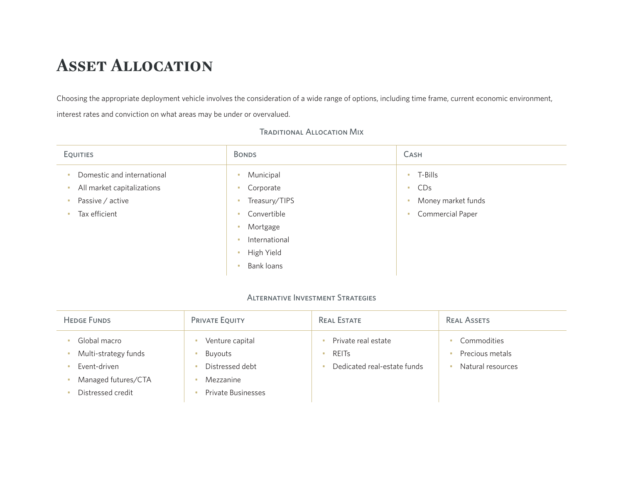# **Asset Allocation**

Choosing the appropriate deployment vehicle involves the consideration of a wide range of options, including time frame, current economic environment, interest rates and conviction on what areas may be under or overvalued.

| <b>EQUITIES</b>                                                                               | <b>BONDS</b>                                                                                                                                                               | CASH                                                                                           |
|-----------------------------------------------------------------------------------------------|----------------------------------------------------------------------------------------------------------------------------------------------------------------------------|------------------------------------------------------------------------------------------------|
| Domestic and international<br>All market capitalizations<br>Passive / active<br>Tax efficient | Municipal<br>Corporate<br>۰<br>Treasury/TIPS<br>۰<br>Convertible<br>$\bullet$<br>Mortgage<br>$\blacksquare$<br>International<br>$\bullet$<br>High Yield<br>o<br>Bank loans | T-Bills<br>$\mathcal{L}_{\mathcal{A}}$<br>CDs<br>Money market funds<br><b>Commercial Paper</b> |

### Traditional Allocation Mix

#### Alternative Investment Strategies

| <b>HEDGE FUNDS</b>                                                                               | PRIVATE EQUITY                                                                          | <b>REAL ESTATE</b>                                                 | <b>REAL ASSETS</b>                                  |
|--------------------------------------------------------------------------------------------------|-----------------------------------------------------------------------------------------|--------------------------------------------------------------------|-----------------------------------------------------|
| Global macro<br>Multi-strategy funds<br>Event-driven<br>Managed futures/CTA<br>Distressed credit | Venture capital<br>Buyouts<br>Distressed debt<br>Mezzanine<br><b>Private Businesses</b> | Private real estate<br><b>REITS</b><br>Dedicated real-estate funds | Commodities<br>Precious metals<br>Natural resources |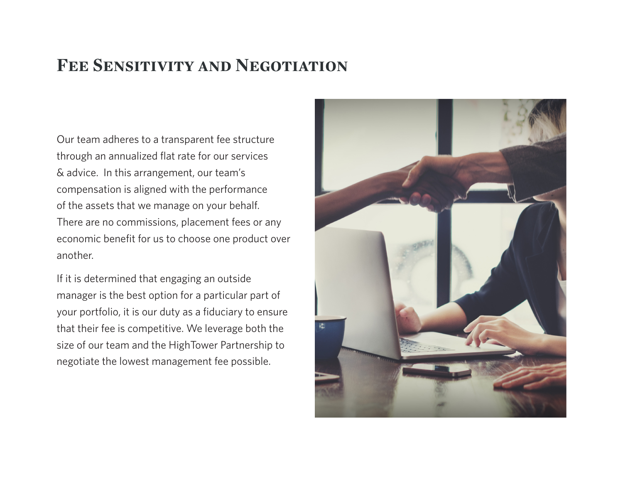## **Fee Sensitivity and Negotiation**

Our team adheres to a transparent fee structure through an annualized flat rate for our services & advice. In this arrangement, our team's compensation is aligned with the performance of the assets that we manage on your behalf. There are no commissions, placement fees or any economic benefit for us to choose one product over another.

If it is determined that engaging an outside manager is the best option for a particular part of your portfolio, it is our duty as a fiduciary to ensure that their fee is competitive. We leverage both the size of our team and the HighTower Partnership to negotiate the lowest management fee possible.